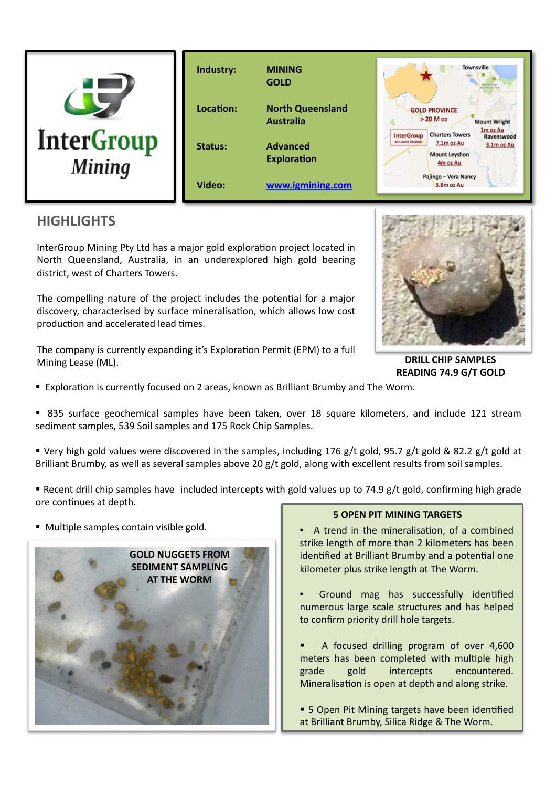

## **HIGHLIGHTS**

InterGroup Mining Pty Ltd has a major gold exploration project located in North Queensland, Australia, in an underexplored high gold bearing district, west of Charters Towers.

The compelling nature of the project includes the potential for a major discovery, characterised by surface mineralisation, which allows low cost production and accelerated lead times.

The company is currently expanding it's Exploration Permit (EPM) to a full Mining Lease (ML).



**DRILL CHIP SAMPLES READING 74.9 G/T GOLD** 

- **Exploration is currently focused on 2 areas, known as Brilliant Brumby and The Worm.**
- 835 surface geochemical samples have been taken, over 18 square kilometers, and include 121 stream sediment samples, 539 Soil samples and 175 Rock Chip Samples.
- Very high gold values were discovered in the samples, including 176 g/t gold, 95.7 g/t gold & 82.2 g/t gold at Brilliant Brumby, as well as several samples above 20 g/t gold, along with excellent results from soil samples.
- Recent drill chip samples have included intercepts with gold values up to 74.9  $g/t$  gold, confirming high grade ore continues at depth.
- Multiple samples contain visible gold.



### **5 OPEN PIT MINING TARGETS**

- A trend in the mineralisation, of a combined strike length of more than 2 kilometers has been identified at Brilliant Brumby and a potential one kilometer plus strike length at The Worm.
- Ground mag has successfully identified numerous large scale structures and has helped to confirm priority drill hole targets.
- A focused drilling program of over 4,600 meters has been completed with multiple high grade gold intercepts encountered. Mineralisation is open at depth and along strike.
- 5 Open Pit Mining targets have been identified at Brilliant Brumby, Silica Ridge & The Worm.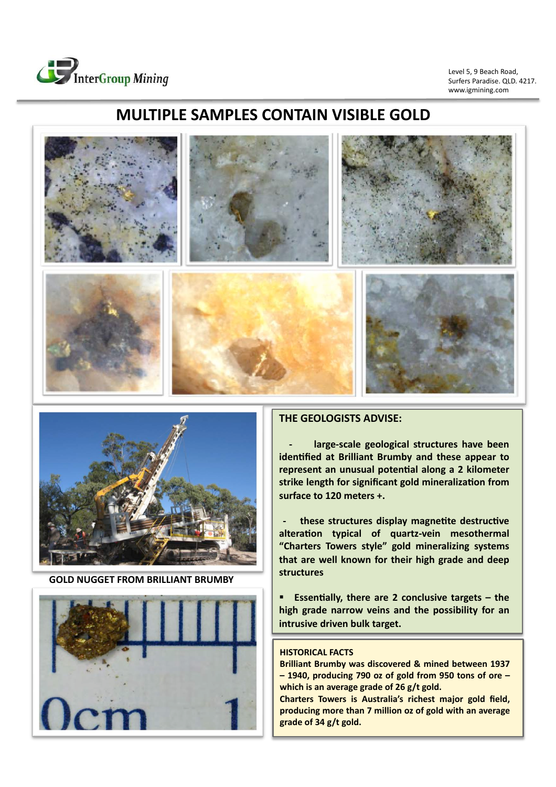

www.igmining.com Level 5, 9 Beach Road, Surfers Paradise. QLD. 4217.

# **MULTIPLE SAMPLES CONTAIN VISIBLE GOLD**





**GOLD NUGGET FROM BRILLIANT BRUMBY** 



### **THE GEOLOGISTS ADVISE:**

large-scale geological structures have been **identified at Brilliant Brumby and these appear to** represent an unusual potential along a 2 kilometer strike length for significant gold mineralization from surface to 120 meters +.

**these structures display magnetite destructive** alteration typical of quartz-vein mesothermal "Charters Towers style" gold mineralizing systems that are well known for their high grade and deep **structures** 

Essentially, there are 2 conclusive targets  $-$  the high grade narrow veins and the possibility for an **intrusive driven bulk target.** 

#### **HISTORICAL FACTS**

**Brilliant Brumby was discovered & mined between 1937** - 1940, producing 790 oz of gold from 950 tons of ore which is an average grade of 26 g/t gold. **Charters Towers is Australia's richest major gold field,** producing more than 7 million oz of gold with an average grade of 34 g/t gold.